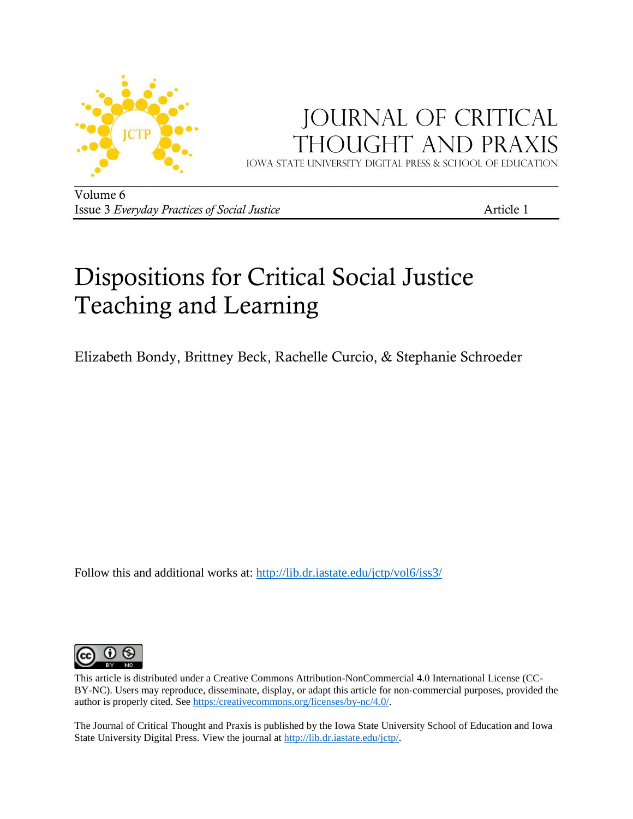

## JOURNAL OF CRITICAL Thought and Praxis

Iowa state university digital press & School of education

Volume 6 Issue 3 *Everyday Practices of Social Justice* Article 1

# Dispositions for Critical Social Justice Teaching and Learning

Elizabeth Bondy, Brittney Beck, Rachelle Curcio, & Stephanie Schroeder

Follow this and additional works at:<http://lib.dr.iastate.edu/jctp/vol6/iss3/>



This article is distributed under a Creative Commons Attribution-NonCommercial 4.0 International License (CC-BY-NC). Users may reproduce, disseminate, display, or adapt this article for non-commercial purposes, provided the author is properly cited. See [https:/creativecommons.org/licenses/by-nc/4.0/.](https://creativecommons.org/licenses/by-nc/4.0/) 

The Journal of Critical Thought and Praxis is published by the Iowa State University School of Education and Iowa State University Digital Press. View the journal at [http://lib.dr.iastate.edu/jctp/.](http://lib.dr.iastate.edu/jctp/)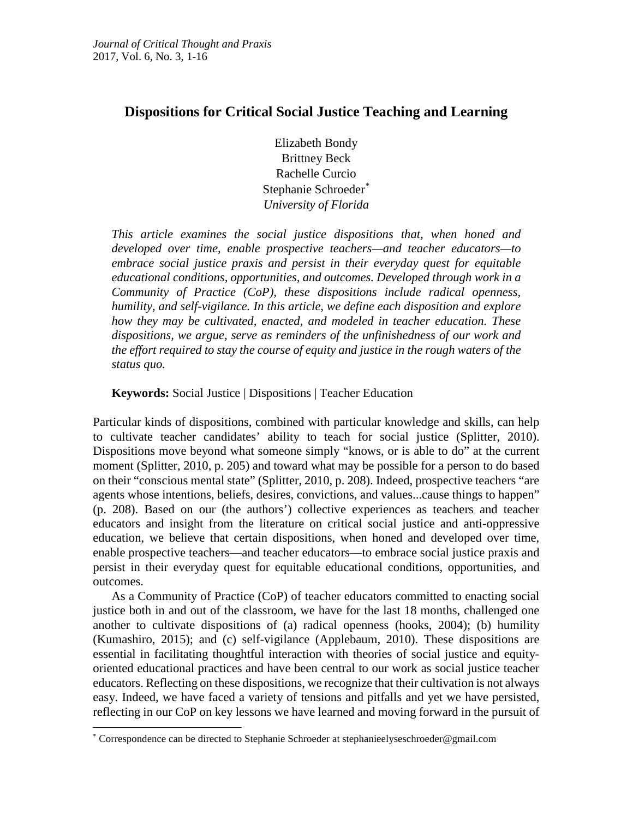## **Dispositions for Critical Social Justice Teaching and Learning**

Elizabeth Bondy Brittney Beck Rachelle Curcio Stephanie Schroeder[\\*](#page-1-0) *University of Florida*

*This article examines the social justice dispositions that, when honed and developed over time, enable prospective teachers—and teacher educators—to embrace social justice praxis and persist in their everyday quest for equitable educational conditions, opportunities, and outcomes. Developed through work in a Community of Practice (CoP), these dispositions include radical openness, humility, and self-vigilance. In this article, we define each disposition and explore how they may be cultivated, enacted, and modeled in teacher education. These dispositions, we argue, serve as reminders of the unfinishedness of our work and the effort required to stay the course of equity and justice in the rough waters of the status quo.*

**Keywords:** Social Justice | Dispositions | Teacher Education

Particular kinds of dispositions, combined with particular knowledge and skills, can help to cultivate teacher candidates' ability to teach for social justice (Splitter, 2010). Dispositions move beyond what someone simply "knows, or is able to do" at the current moment (Splitter, 2010, p. 205) and toward what may be possible for a person to do based on their "conscious mental state" (Splitter, 2010, p. 208). Indeed, prospective teachers "are agents whose intentions, beliefs, desires, convictions, and values...cause things to happen" (p. 208). Based on our (the authors') collective experiences as teachers and teacher educators and insight from the literature on critical social justice and anti-oppressive education, we believe that certain dispositions, when honed and developed over time, enable prospective teachers—and teacher educators—to embrace social justice praxis and persist in their everyday quest for equitable educational conditions, opportunities, and outcomes.

As a Community of Practice (CoP) of teacher educators committed to enacting social justice both in and out of the classroom, we have for the last 18 months, challenged one another to cultivate dispositions of (a) radical openness (hooks, 2004); (b) humility (Kumashiro, 2015); and (c) self-vigilance (Applebaum, 2010). These dispositions are essential in facilitating thoughtful interaction with theories of social justice and equityoriented educational practices and have been central to our work as social justice teacher educators. Reflecting on these dispositions, we recognize that their cultivation is not always easy. Indeed, we have faced a variety of tensions and pitfalls and yet we have persisted, reflecting in our CoP on key lessons we have learned and moving forward in the pursuit of

 $\overline{a}$ 

<span id="page-1-0"></span><sup>\*</sup> Correspondence can be directed to Stephanie Schroeder at stephanieelyseschroeder@gmail.com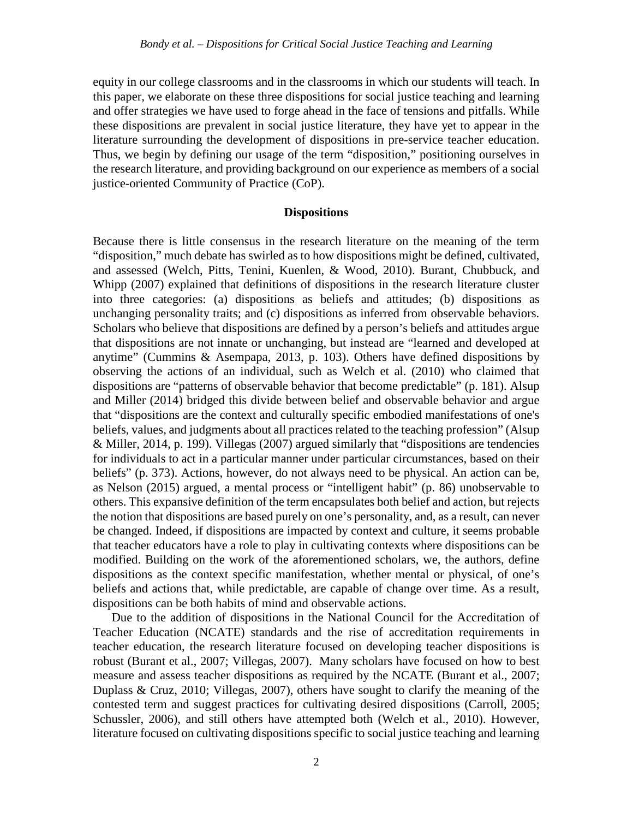equity in our college classrooms and in the classrooms in which our students will teach. In this paper, we elaborate on these three dispositions for social justice teaching and learning and offer strategies we have used to forge ahead in the face of tensions and pitfalls. While these dispositions are prevalent in social justice literature, they have yet to appear in the literature surrounding the development of dispositions in pre-service teacher education. Thus, we begin by defining our usage of the term "disposition," positioning ourselves in the research literature, and providing background on our experience as members of a social justice-oriented Community of Practice (CoP).

## **Dispositions**

Because there is little consensus in the research literature on the meaning of the term "disposition," much debate has swirled as to how dispositions might be defined, cultivated, and assessed (Welch, Pitts, Tenini, Kuenlen, & Wood, 2010). Burant, Chubbuck, and Whipp (2007) explained that definitions of dispositions in the research literature cluster into three categories: (a) dispositions as beliefs and attitudes; (b) dispositions as unchanging personality traits; and (c) dispositions as inferred from observable behaviors. Scholars who believe that dispositions are defined by a person's beliefs and attitudes argue that dispositions are not innate or unchanging, but instead are "learned and developed at anytime" (Cummins & Asempapa, 2013, p. 103). Others have defined dispositions by observing the actions of an individual, such as Welch et al. (2010) who claimed that dispositions are "patterns of observable behavior that become predictable" (p. 181). Alsup and Miller (2014) bridged this divide between belief and observable behavior and argue that "dispositions are the context and culturally specific embodied manifestations of one's beliefs, values, and judgments about all practices related to the teaching profession" (Alsup & Miller, 2014, p. 199). Villegas (2007) argued similarly that "dispositions are tendencies for individuals to act in a particular manner under particular circumstances, based on their beliefs" (p. 373). Actions, however, do not always need to be physical. An action can be, as Nelson (2015) argued, a mental process or "intelligent habit" (p. 86) unobservable to others. This expansive definition of the term encapsulates both belief and action, but rejects the notion that dispositions are based purely on one's personality, and, as a result, can never be changed. Indeed, if dispositions are impacted by context and culture, it seems probable that teacher educators have a role to play in cultivating contexts where dispositions can be modified. Building on the work of the aforementioned scholars, we, the authors, define dispositions as the context specific manifestation, whether mental or physical, of one's beliefs and actions that, while predictable, are capable of change over time. As a result, dispositions can be both habits of mind and observable actions.

Due to the addition of dispositions in the National Council for the Accreditation of Teacher Education (NCATE) standards and the rise of accreditation requirements in teacher education, the research literature focused on developing teacher dispositions is robust (Burant et al., 2007; Villegas, 2007). Many scholars have focused on how to best measure and assess teacher dispositions as required by the NCATE (Burant et al., 2007; Duplass & Cruz, 2010; Villegas, 2007), others have sought to clarify the meaning of the contested term and suggest practices for cultivating desired dispositions (Carroll, 2005; Schussler, 2006), and still others have attempted both (Welch et al., 2010). However, literature focused on cultivating dispositions specific to social justice teaching and learning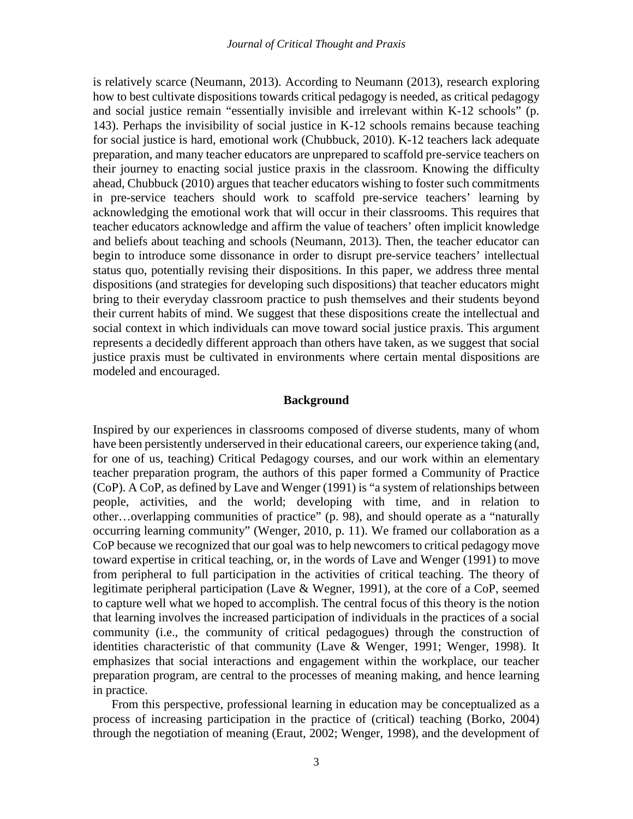is relatively scarce (Neumann, 2013). According to Neumann (2013), research exploring how to best cultivate dispositions towards critical pedagogy is needed, as critical pedagogy and social justice remain "essentially invisible and irrelevant within K-12 schools" (p. 143). Perhaps the invisibility of social justice in K-12 schools remains because teaching for social justice is hard, emotional work (Chubbuck, 2010). K-12 teachers lack adequate preparation, and many teacher educators are unprepared to scaffold pre-service teachers on their journey to enacting social justice praxis in the classroom. Knowing the difficulty ahead, Chubbuck (2010) argues that teacher educators wishing to foster such commitments in pre-service teachers should work to scaffold pre-service teachers' learning by acknowledging the emotional work that will occur in their classrooms. This requires that teacher educators acknowledge and affirm the value of teachers' often implicit knowledge and beliefs about teaching and schools (Neumann, 2013). Then, the teacher educator can begin to introduce some dissonance in order to disrupt pre-service teachers' intellectual status quo, potentially revising their dispositions. In this paper, we address three mental dispositions (and strategies for developing such dispositions) that teacher educators might bring to their everyday classroom practice to push themselves and their students beyond their current habits of mind. We suggest that these dispositions create the intellectual and social context in which individuals can move toward social justice praxis. This argument represents a decidedly different approach than others have taken, as we suggest that social justice praxis must be cultivated in environments where certain mental dispositions are modeled and encouraged.

## **Background**

Inspired by our experiences in classrooms composed of diverse students, many of whom have been persistently underserved in their educational careers, our experience taking (and, for one of us, teaching) Critical Pedagogy courses, and our work within an elementary teacher preparation program, the authors of this paper formed a Community of Practice (CoP). A CoP, as defined by Lave and Wenger (1991) is "a system of relationships between people, activities, and the world; developing with time, and in relation to other…overlapping communities of practice" (p. 98), and should operate as a "naturally occurring learning community" (Wenger, 2010, p. 11). We framed our collaboration as a CoP because we recognized that our goal was to help newcomers to critical pedagogy move toward expertise in critical teaching, or, in the words of Lave and Wenger (1991) to move from peripheral to full participation in the activities of critical teaching. The theory of legitimate peripheral participation (Lave & Wegner, 1991), at the core of a CoP, seemed to capture well what we hoped to accomplish. The central focus of this theory is the notion that learning involves the increased participation of individuals in the practices of a social community (i.e., the community of critical pedagogues) through the construction of identities characteristic of that community (Lave & Wenger, 1991; Wenger, 1998). It emphasizes that social interactions and engagement within the workplace, our teacher preparation program, are central to the processes of meaning making, and hence learning in practice.

From this perspective, professional learning in education may be conceptualized as a process of increasing participation in the practice of (critical) teaching (Borko, 2004) through the negotiation of meaning (Eraut, 2002; Wenger, 1998), and the development of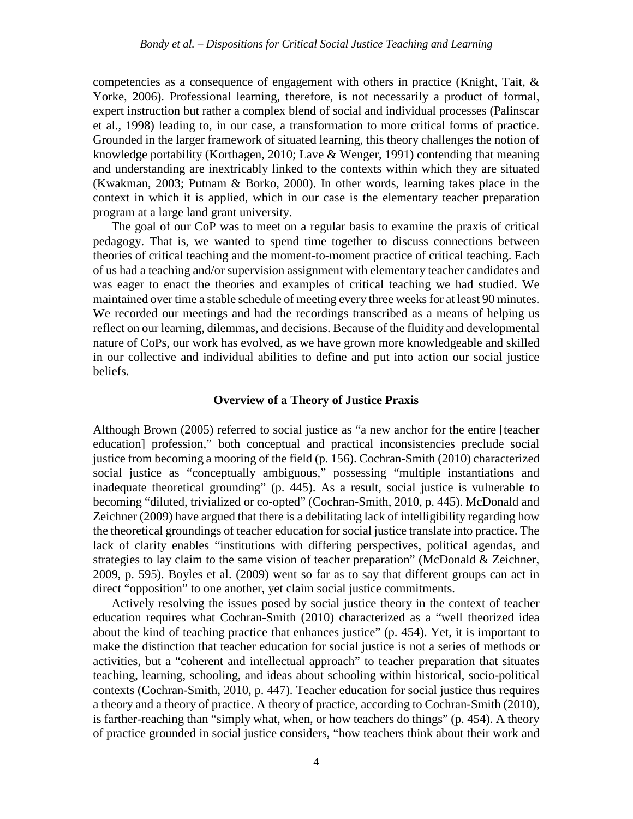competencies as a consequence of engagement with others in practice (Knight, Tait, & Yorke, 2006). Professional learning, therefore, is not necessarily a product of formal, expert instruction but rather a complex blend of social and individual processes (Palinscar et al., 1998) leading to, in our case, a transformation to more critical forms of practice. Grounded in the larger framework of situated learning, this theory challenges the notion of knowledge portability (Korthagen, 2010; Lave & Wenger, 1991) contending that meaning and understanding are inextricably linked to the contexts within which they are situated (Kwakman, 2003; Putnam & Borko, 2000). In other words, learning takes place in the context in which it is applied, which in our case is the elementary teacher preparation program at a large land grant university.

The goal of our CoP was to meet on a regular basis to examine the praxis of critical pedagogy. That is, we wanted to spend time together to discuss connections between theories of critical teaching and the moment-to-moment practice of critical teaching. Each of us had a teaching and/or supervision assignment with elementary teacher candidates and was eager to enact the theories and examples of critical teaching we had studied. We maintained over time a stable schedule of meeting every three weeks for at least 90 minutes. We recorded our meetings and had the recordings transcribed as a means of helping us reflect on our learning, dilemmas, and decisions. Because of the fluidity and developmental nature of CoPs, our work has evolved, as we have grown more knowledgeable and skilled in our collective and individual abilities to define and put into action our social justice beliefs.

## **Overview of a Theory of Justice Praxis**

Although Brown (2005) referred to social justice as "a new anchor for the entire [teacher education] profession," both conceptual and practical inconsistencies preclude social justice from becoming a mooring of the field (p. 156). Cochran-Smith (2010) characterized social justice as "conceptually ambiguous," possessing "multiple instantiations and inadequate theoretical grounding" (p. 445). As a result, social justice is vulnerable to becoming "diluted, trivialized or co-opted" (Cochran-Smith, 2010, p. 445). McDonald and Zeichner (2009) have argued that there is a debilitating lack of intelligibility regarding how the theoretical groundings of teacher education for social justice translate into practice. The lack of clarity enables "institutions with differing perspectives, political agendas, and strategies to lay claim to the same vision of teacher preparation" (McDonald & Zeichner, 2009, p. 595). Boyles et al. (2009) went so far as to say that different groups can act in direct "opposition" to one another, yet claim social justice commitments.

Actively resolving the issues posed by social justice theory in the context of teacher education requires what Cochran-Smith (2010) characterized as a "well theorized idea about the kind of teaching practice that enhances justice" (p. 454). Yet, it is important to make the distinction that teacher education for social justice is not a series of methods or activities, but a "coherent and intellectual approach" to teacher preparation that situates teaching, learning, schooling, and ideas about schooling within historical, socio-political contexts (Cochran-Smith, 2010, p. 447). Teacher education for social justice thus requires a theory and a theory of practice. A theory of practice, according to Cochran-Smith (2010), is farther-reaching than "simply what, when, or how teachers do things" (p. 454). A theory of practice grounded in social justice considers, "how teachers think about their work and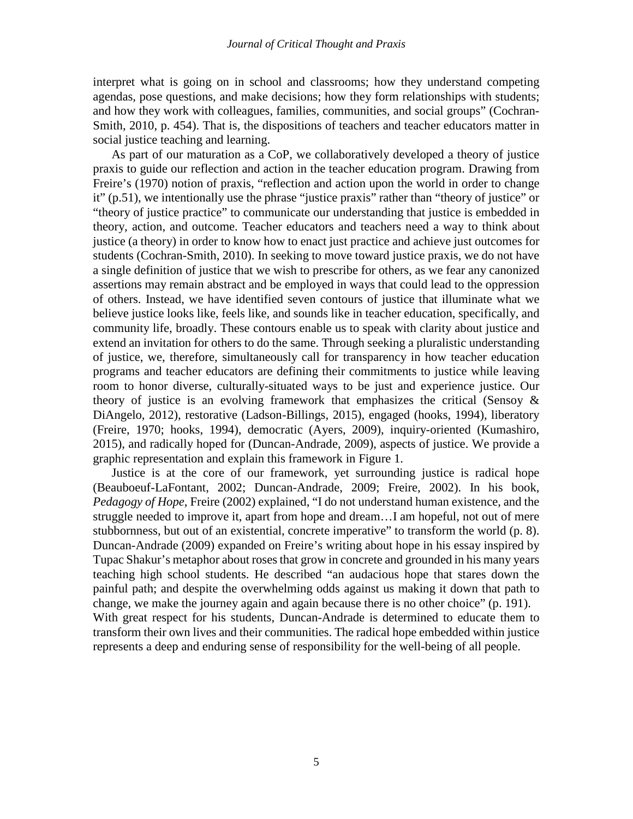interpret what is going on in school and classrooms; how they understand competing agendas, pose questions, and make decisions; how they form relationships with students; and how they work with colleagues, families, communities, and social groups" (Cochran-Smith, 2010, p. 454). That is, the dispositions of teachers and teacher educators matter in social justice teaching and learning.

As part of our maturation as a CoP, we collaboratively developed a theory of justice praxis to guide our reflection and action in the teacher education program. Drawing from Freire's (1970) notion of praxis, "reflection and action upon the world in order to change it" (p.51), we intentionally use the phrase "justice praxis" rather than "theory of justice" or "theory of justice practice" to communicate our understanding that justice is embedded in theory, action, and outcome. Teacher educators and teachers need a way to think about justice (a theory) in order to know how to enact just practice and achieve just outcomes for students (Cochran-Smith, 2010). In seeking to move toward justice praxis, we do not have a single definition of justice that we wish to prescribe for others, as we fear any canonized assertions may remain abstract and be employed in ways that could lead to the oppression of others. Instead, we have identified seven contours of justice that illuminate what we believe justice looks like, feels like, and sounds like in teacher education, specifically, and community life, broadly. These contours enable us to speak with clarity about justice and extend an invitation for others to do the same. Through seeking a pluralistic understanding of justice, we, therefore, simultaneously call for transparency in how teacher education programs and teacher educators are defining their commitments to justice while leaving room to honor diverse, culturally-situated ways to be just and experience justice. Our theory of justice is an evolving framework that emphasizes the critical (Sensoy  $\&$ DiAngelo, 2012), restorative (Ladson-Billings, 2015), engaged (hooks, 1994), liberatory (Freire, 1970; hooks, 1994), democratic (Ayers, 2009), inquiry-oriented (Kumashiro, 2015), and radically hoped for (Duncan-Andrade, 2009), aspects of justice. We provide a graphic representation and explain this framework in Figure 1.

Justice is at the core of our framework, yet surrounding justice is radical hope (Beauboeuf-LaFontant, 2002; Duncan-Andrade, 2009; Freire, 2002). In his book, *Pedagogy of Hope*, Freire (2002) explained, "I do not understand human existence, and the struggle needed to improve it, apart from hope and dream…I am hopeful, not out of mere stubbornness, but out of an existential, concrete imperative" to transform the world (p. 8). Duncan-Andrade (2009) expanded on Freire's writing about hope in his essay inspired by Tupac Shakur's metaphor about roses that grow in concrete and grounded in his many years teaching high school students. He described "an audacious hope that stares down the painful path; and despite the overwhelming odds against us making it down that path to change, we make the journey again and again because there is no other choice" (p. 191). With great respect for his students, Duncan-Andrade is determined to educate them to transform their own lives and their communities. The radical hope embedded within justice represents a deep and enduring sense of responsibility for the well-being of all people.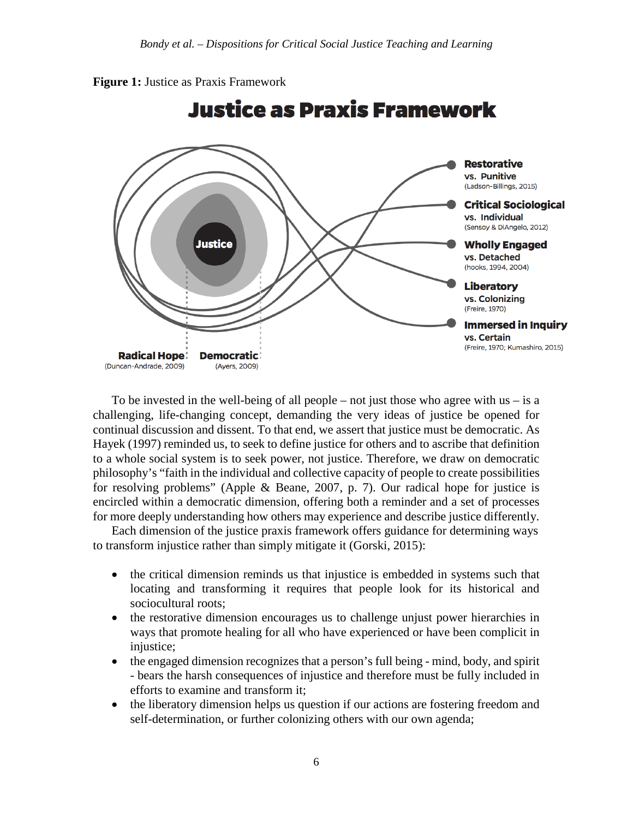



To be invested in the well-being of all people – not just those who agree with us – is a challenging, life-changing concept, demanding the very ideas of justice be opened for continual discussion and dissent. To that end, we assert that justice must be democratic. As Hayek (1997) reminded us, to seek to define justice for others and to ascribe that definition to a whole social system is to seek power, not justice. Therefore, we draw on democratic philosophy's "faith in the individual and collective capacity of people to create possibilities for resolving problems" (Apple & Beane, 2007, p. 7). Our radical hope for justice is encircled within a democratic dimension, offering both a reminder and a set of processes for more deeply understanding how others may experience and describe justice differently.

Each dimension of the justice praxis framework offers guidance for determining ways to transform injustice rather than simply mitigate it (Gorski, 2015):

- the critical dimension reminds us that injustice is embedded in systems such that locating and transforming it requires that people look for its historical and sociocultural roots;
- the restorative dimension encourages us to challenge unjust power hierarchies in ways that promote healing for all who have experienced or have been complicit in injustice:
- the engaged dimension recognizes that a person's full being mind, body, and spirit - bears the harsh consequences of injustice and therefore must be fully included in efforts to examine and transform it;
- the liberatory dimension helps us question if our actions are fostering freedom and self-determination, or further colonizing others with our own agenda;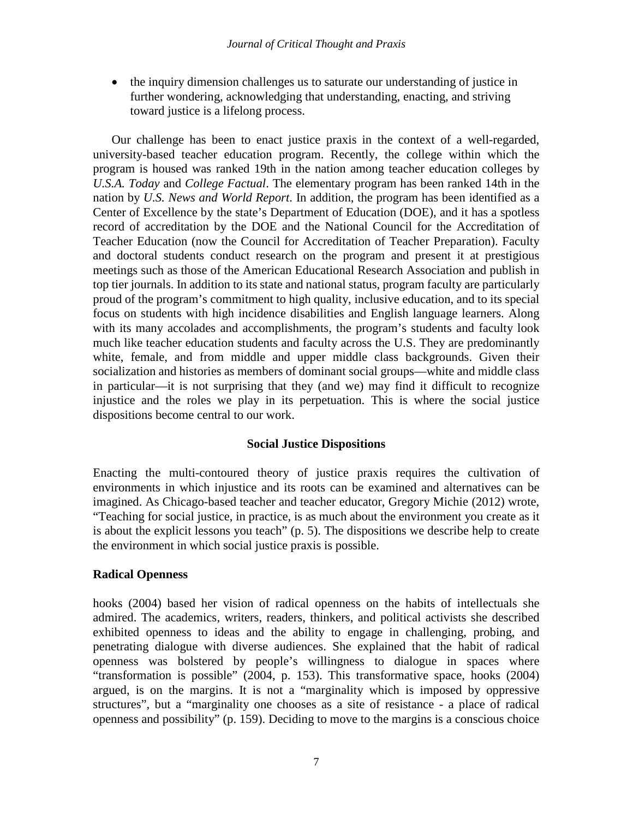• the inquiry dimension challenges us to saturate our understanding of justice in further wondering, acknowledging that understanding, enacting, and striving toward justice is a lifelong process.

Our challenge has been to enact justice praxis in the context of a well-regarded, university-based teacher education program. Recently, the college within which the program is housed was ranked 19th in the nation among teacher education colleges by *U.S.A. Today* and *College Factual*. The elementary program has been ranked 14th in the nation by *U.S. News and World Report*. In addition, the program has been identified as a Center of Excellence by the state's Department of Education (DOE), and it has a spotless record of accreditation by the DOE and the National Council for the Accreditation of Teacher Education (now the Council for Accreditation of Teacher Preparation). Faculty and doctoral students conduct research on the program and present it at prestigious meetings such as those of the American Educational Research Association and publish in top tier journals. In addition to its state and national status, program faculty are particularly proud of the program's commitment to high quality, inclusive education, and to its special focus on students with high incidence disabilities and English language learners. Along with its many accolades and accomplishments, the program's students and faculty look much like teacher education students and faculty across the U.S. They are predominantly white, female, and from middle and upper middle class backgrounds. Given their socialization and histories as members of dominant social groups—white and middle class in particular—it is not surprising that they (and we) may find it difficult to recognize injustice and the roles we play in its perpetuation. This is where the social justice dispositions become central to our work.

## **Social Justice Dispositions**

Enacting the multi-contoured theory of justice praxis requires the cultivation of environments in which injustice and its roots can be examined and alternatives can be imagined. As Chicago-based teacher and teacher educator, Gregory Michie (2012) wrote, "Teaching for social justice, in practice, is as much about the environment you create as it is about the explicit lessons you teach" (p. 5). The dispositions we describe help to create the environment in which social justice praxis is possible.

## **Radical Openness**

hooks (2004) based her vision of radical openness on the habits of intellectuals she admired. The academics, writers, readers, thinkers, and political activists she described exhibited openness to ideas and the ability to engage in challenging, probing, and penetrating dialogue with diverse audiences. She explained that the habit of radical openness was bolstered by people's willingness to dialogue in spaces where "transformation is possible" (2004, p. 153). This transformative space, hooks (2004) argued, is on the margins. It is not a "marginality which is imposed by oppressive structures", but a "marginality one chooses as a site of resistance - a place of radical openness and possibility" (p. 159). Deciding to move to the margins is a conscious choice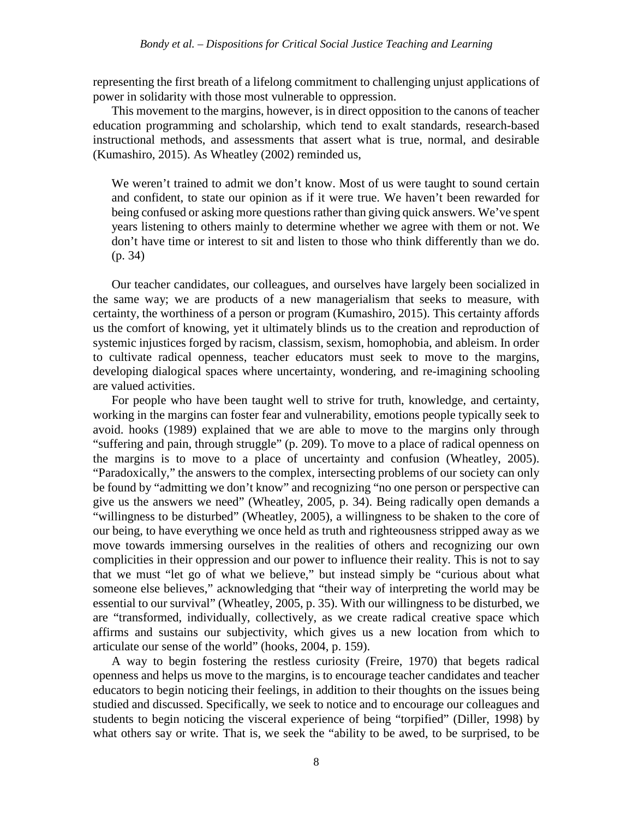representing the first breath of a lifelong commitment to challenging unjust applications of power in solidarity with those most vulnerable to oppression.

This movement to the margins, however, is in direct opposition to the canons of teacher education programming and scholarship, which tend to exalt standards, research-based instructional methods, and assessments that assert what is true, normal, and desirable (Kumashiro, 2015). As Wheatley (2002) reminded us,

We weren't trained to admit we don't know. Most of us were taught to sound certain and confident, to state our opinion as if it were true. We haven't been rewarded for being confused or asking more questions rather than giving quick answers. We've spent years listening to others mainly to determine whether we agree with them or not. We don't have time or interest to sit and listen to those who think differently than we do. (p. 34)

Our teacher candidates, our colleagues, and ourselves have largely been socialized in the same way; we are products of a new managerialism that seeks to measure, with certainty, the worthiness of a person or program (Kumashiro, 2015). This certainty affords us the comfort of knowing, yet it ultimately blinds us to the creation and reproduction of systemic injustices forged by racism, classism, sexism, homophobia, and ableism. In order to cultivate radical openness, teacher educators must seek to move to the margins, developing dialogical spaces where uncertainty, wondering, and re-imagining schooling are valued activities.

For people who have been taught well to strive for truth, knowledge, and certainty, working in the margins can foster fear and vulnerability, emotions people typically seek to avoid. hooks (1989) explained that we are able to move to the margins only through "suffering and pain, through struggle" (p. 209). To move to a place of radical openness on the margins is to move to a place of uncertainty and confusion (Wheatley, 2005). "Paradoxically," the answers to the complex, intersecting problems of our society can only be found by "admitting we don't know" and recognizing "no one person or perspective can give us the answers we need" (Wheatley, 2005, p. 34). Being radically open demands a "willingness to be disturbed" (Wheatley, 2005), a willingness to be shaken to the core of our being, to have everything we once held as truth and righteousness stripped away as we move towards immersing ourselves in the realities of others and recognizing our own complicities in their oppression and our power to influence their reality. This is not to say that we must "let go of what we believe," but instead simply be "curious about what someone else believes," acknowledging that "their way of interpreting the world may be essential to our survival" (Wheatley, 2005, p. 35). With our willingness to be disturbed, we are "transformed, individually, collectively, as we create radical creative space which affirms and sustains our subjectivity, which gives us a new location from which to articulate our sense of the world" (hooks, 2004, p. 159).

A way to begin fostering the restless curiosity (Freire, 1970) that begets radical openness and helps us move to the margins, is to encourage teacher candidates and teacher educators to begin noticing their feelings, in addition to their thoughts on the issues being studied and discussed. Specifically, we seek to notice and to encourage our colleagues and students to begin noticing the visceral experience of being "torpified" (Diller, 1998) by what others say or write. That is, we seek the "ability to be awed, to be surprised, to be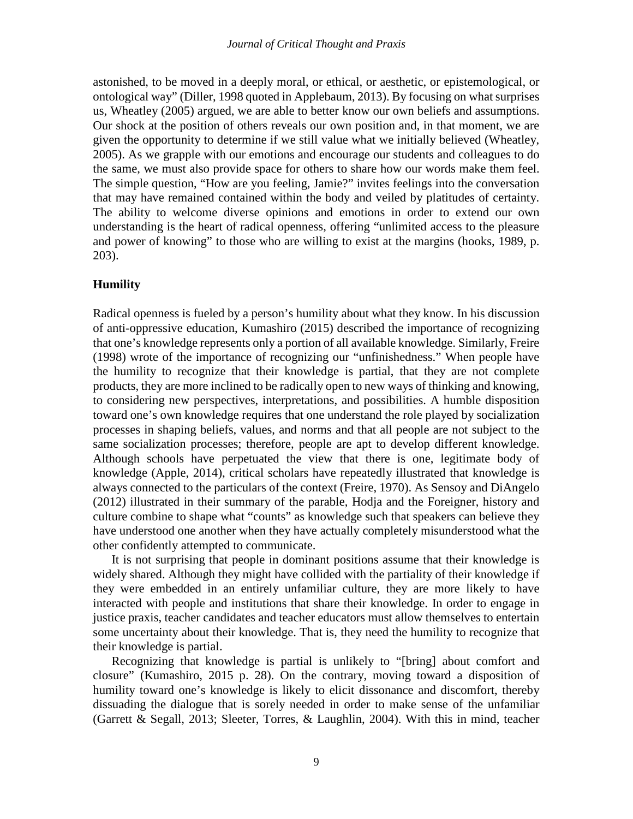astonished, to be moved in a deeply moral, or ethical, or aesthetic, or epistemological, or ontological way" (Diller, 1998 quoted in Applebaum, 2013). By focusing on what surprises us, Wheatley (2005) argued, we are able to better know our own beliefs and assumptions. Our shock at the position of others reveals our own position and, in that moment, we are given the opportunity to determine if we still value what we initially believed (Wheatley, 2005). As we grapple with our emotions and encourage our students and colleagues to do the same, we must also provide space for others to share how our words make them feel. The simple question, "How are you feeling, Jamie?" invites feelings into the conversation that may have remained contained within the body and veiled by platitudes of certainty. The ability to welcome diverse opinions and emotions in order to extend our own understanding is the heart of radical openness, offering "unlimited access to the pleasure and power of knowing" to those who are willing to exist at the margins (hooks, 1989, p. 203).

## **Humility**

Radical openness is fueled by a person's humility about what they know. In his discussion of anti-oppressive education, Kumashiro (2015) described the importance of recognizing that one's knowledge represents only a portion of all available knowledge. Similarly, Freire (1998) wrote of the importance of recognizing our "unfinishedness." When people have the humility to recognize that their knowledge is partial, that they are not complete products, they are more inclined to be radically open to new ways of thinking and knowing, to considering new perspectives, interpretations, and possibilities. A humble disposition toward one's own knowledge requires that one understand the role played by socialization processes in shaping beliefs, values, and norms and that all people are not subject to the same socialization processes; therefore, people are apt to develop different knowledge. Although schools have perpetuated the view that there is one, legitimate body of knowledge (Apple, 2014), critical scholars have repeatedly illustrated that knowledge is always connected to the particulars of the context (Freire, 1970). As Sensoy and DiAngelo (2012) illustrated in their summary of the parable, Hodja and the Foreigner, history and culture combine to shape what "counts" as knowledge such that speakers can believe they have understood one another when they have actually completely misunderstood what the other confidently attempted to communicate.

It is not surprising that people in dominant positions assume that their knowledge is widely shared. Although they might have collided with the partiality of their knowledge if they were embedded in an entirely unfamiliar culture, they are more likely to have interacted with people and institutions that share their knowledge. In order to engage in justice praxis, teacher candidates and teacher educators must allow themselves to entertain some uncertainty about their knowledge. That is, they need the humility to recognize that their knowledge is partial.

Recognizing that knowledge is partial is unlikely to "[bring] about comfort and closure" (Kumashiro, 2015 p. 28). On the contrary, moving toward a disposition of humility toward one's knowledge is likely to elicit dissonance and discomfort, thereby dissuading the dialogue that is sorely needed in order to make sense of the unfamiliar (Garrett & Segall, 2013; Sleeter, Torres, & Laughlin, 2004). With this in mind, teacher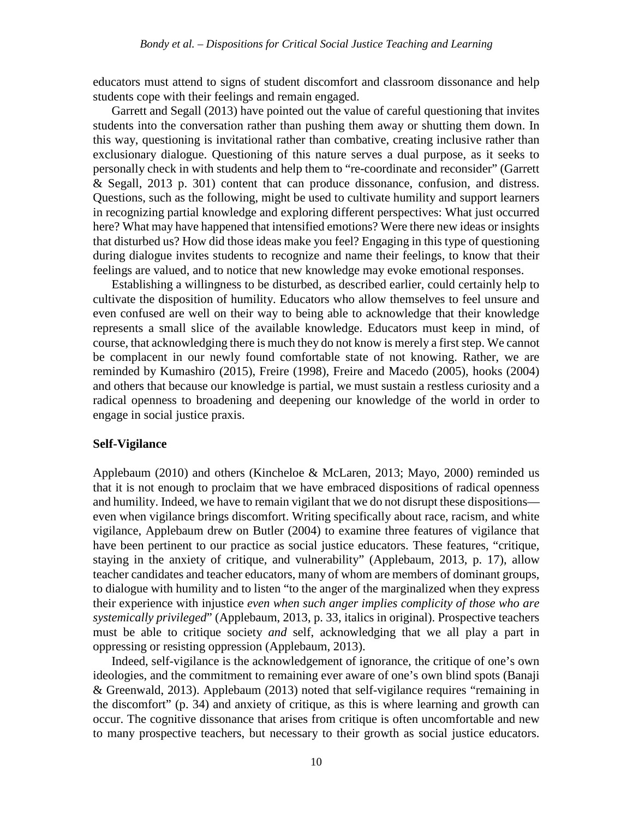educators must attend to signs of student discomfort and classroom dissonance and help students cope with their feelings and remain engaged.

Garrett and Segall (2013) have pointed out the value of careful questioning that invites students into the conversation rather than pushing them away or shutting them down. In this way, questioning is invitational rather than combative, creating inclusive rather than exclusionary dialogue. Questioning of this nature serves a dual purpose, as it seeks to personally check in with students and help them to "re-coordinate and reconsider" (Garrett & Segall, 2013 p. 301) content that can produce dissonance, confusion, and distress. Questions, such as the following, might be used to cultivate humility and support learners in recognizing partial knowledge and exploring different perspectives: What just occurred here? What may have happened that intensified emotions? Were there new ideas or insights that disturbed us? How did those ideas make you feel? Engaging in this type of questioning during dialogue invites students to recognize and name their feelings, to know that their feelings are valued, and to notice that new knowledge may evoke emotional responses.

Establishing a willingness to be disturbed, as described earlier, could certainly help to cultivate the disposition of humility. Educators who allow themselves to feel unsure and even confused are well on their way to being able to acknowledge that their knowledge represents a small slice of the available knowledge. Educators must keep in mind, of course, that acknowledging there is much they do not know is merely a first step. We cannot be complacent in our newly found comfortable state of not knowing. Rather, we are reminded by Kumashiro (2015), Freire (1998), Freire and Macedo (2005), hooks (2004) and others that because our knowledge is partial, we must sustain a restless curiosity and a radical openness to broadening and deepening our knowledge of the world in order to engage in social justice praxis.

## **Self-Vigilance**

Applebaum (2010) and others (Kincheloe & McLaren, 2013; Mayo, 2000) reminded us that it is not enough to proclaim that we have embraced dispositions of radical openness and humility. Indeed, we have to remain vigilant that we do not disrupt these dispositions even when vigilance brings discomfort. Writing specifically about race, racism, and white vigilance, Applebaum drew on Butler (2004) to examine three features of vigilance that have been pertinent to our practice as social justice educators. These features, "critique, staying in the anxiety of critique, and vulnerability" (Applebaum, 2013, p. 17), allow teacher candidates and teacher educators, many of whom are members of dominant groups, to dialogue with humility and to listen "to the anger of the marginalized when they express their experience with injustice *even when such anger implies complicity of those who are systemically privileged*" (Applebaum, 2013, p. 33, italics in original). Prospective teachers must be able to critique society *and* self, acknowledging that we all play a part in oppressing or resisting oppression (Applebaum, 2013).

Indeed, self-vigilance is the acknowledgement of ignorance, the critique of one's own ideologies, and the commitment to remaining ever aware of one's own blind spots (Banaji & Greenwald, 2013). Applebaum (2013) noted that self-vigilance requires "remaining in the discomfort" (p. 34) and anxiety of critique, as this is where learning and growth can occur. The cognitive dissonance that arises from critique is often uncomfortable and new to many prospective teachers, but necessary to their growth as social justice educators.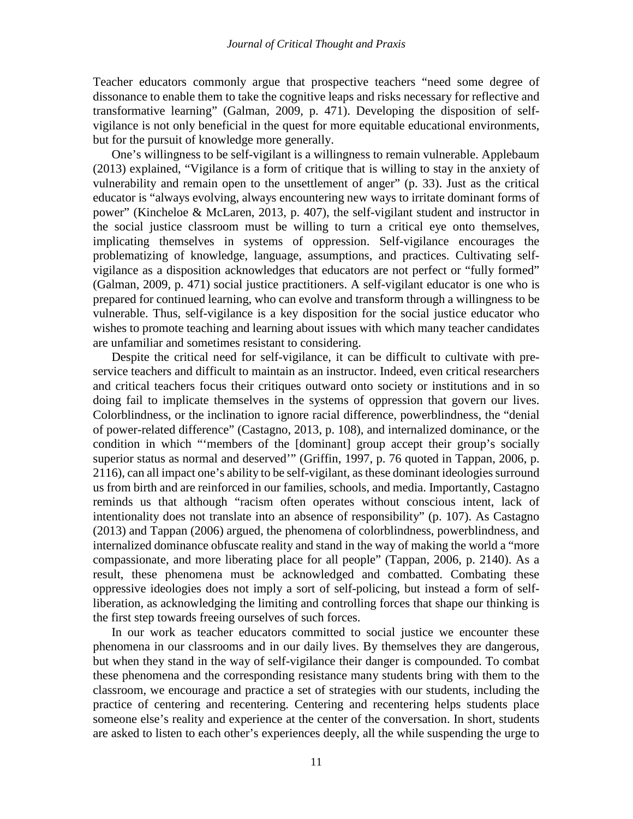Teacher educators commonly argue that prospective teachers "need some degree of dissonance to enable them to take the cognitive leaps and risks necessary for reflective and transformative learning" (Galman, 2009, p. 471). Developing the disposition of selfvigilance is not only beneficial in the quest for more equitable educational environments, but for the pursuit of knowledge more generally.

One's willingness to be self-vigilant is a willingness to remain vulnerable. Applebaum (2013) explained, "Vigilance is a form of critique that is willing to stay in the anxiety of vulnerability and remain open to the unsettlement of anger" (p. 33). Just as the critical educator is "always evolving, always encountering new ways to irritate dominant forms of power" (Kincheloe & McLaren, 2013, p. 407), the self-vigilant student and instructor in the social justice classroom must be willing to turn a critical eye onto themselves, implicating themselves in systems of oppression. Self-vigilance encourages the problematizing of knowledge, language, assumptions, and practices. Cultivating selfvigilance as a disposition acknowledges that educators are not perfect or "fully formed" (Galman, 2009, p. 471) social justice practitioners. A self-vigilant educator is one who is prepared for continued learning, who can evolve and transform through a willingness to be vulnerable. Thus, self-vigilance is a key disposition for the social justice educator who wishes to promote teaching and learning about issues with which many teacher candidates are unfamiliar and sometimes resistant to considering.

Despite the critical need for self-vigilance, it can be difficult to cultivate with preservice teachers and difficult to maintain as an instructor. Indeed, even critical researchers and critical teachers focus their critiques outward onto society or institutions and in so doing fail to implicate themselves in the systems of oppression that govern our lives. Colorblindness, or the inclination to ignore racial difference, powerblindness, the "denial of power-related difference" (Castagno, 2013, p. 108), and internalized dominance, or the condition in which "'members of the [dominant] group accept their group's socially superior status as normal and deserved'" (Griffin, 1997, p. 76 quoted in Tappan, 2006, p. 2116), can all impact one's ability to be self-vigilant, as these dominant ideologies surround us from birth and are reinforced in our families, schools, and media. Importantly, Castagno reminds us that although "racism often operates without conscious intent, lack of intentionality does not translate into an absence of responsibility" (p. 107). As Castagno (2013) and Tappan (2006) argued, the phenomena of colorblindness, powerblindness, and internalized dominance obfuscate reality and stand in the way of making the world a "more compassionate, and more liberating place for all people" (Tappan, 2006, p. 2140). As a result, these phenomena must be acknowledged and combatted. Combating these oppressive ideologies does not imply a sort of self-policing, but instead a form of selfliberation, as acknowledging the limiting and controlling forces that shape our thinking is the first step towards freeing ourselves of such forces.

In our work as teacher educators committed to social justice we encounter these phenomena in our classrooms and in our daily lives. By themselves they are dangerous, but when they stand in the way of self-vigilance their danger is compounded. To combat these phenomena and the corresponding resistance many students bring with them to the classroom, we encourage and practice a set of strategies with our students, including the practice of centering and recentering. Centering and recentering helps students place someone else's reality and experience at the center of the conversation. In short, students are asked to listen to each other's experiences deeply, all the while suspending the urge to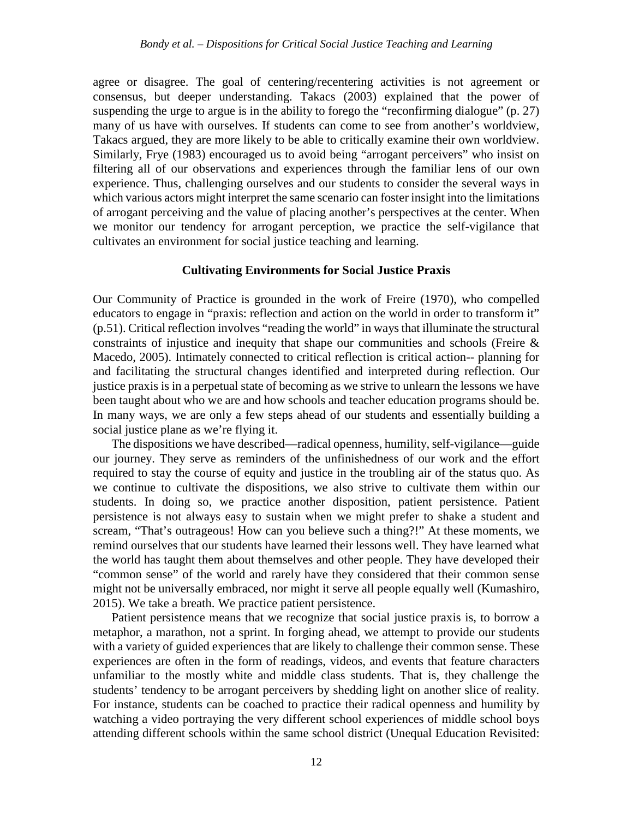agree or disagree. The goal of centering/recentering activities is not agreement or consensus, but deeper understanding. Takacs (2003) explained that the power of suspending the urge to argue is in the ability to forego the "reconfirming dialogue" (p. 27) many of us have with ourselves. If students can come to see from another's worldview, Takacs argued, they are more likely to be able to critically examine their own worldview. Similarly, Frye (1983) encouraged us to avoid being "arrogant perceivers" who insist on filtering all of our observations and experiences through the familiar lens of our own experience. Thus, challenging ourselves and our students to consider the several ways in which various actors might interpret the same scenario can foster insight into the limitations of arrogant perceiving and the value of placing another's perspectives at the center. When we monitor our tendency for arrogant perception, we practice the self-vigilance that cultivates an environment for social justice teaching and learning.

## **Cultivating Environments for Social Justice Praxis**

Our Community of Practice is grounded in the work of Freire (1970), who compelled educators to engage in "praxis: reflection and action on the world in order to transform it" (p.51). Critical reflection involves "reading the world" in ways that illuminate the structural constraints of injustice and inequity that shape our communities and schools (Freire & Macedo, 2005). Intimately connected to critical reflection is critical action-- planning for and facilitating the structural changes identified and interpreted during reflection. Our justice praxis is in a perpetual state of becoming as we strive to unlearn the lessons we have been taught about who we are and how schools and teacher education programs should be. In many ways, we are only a few steps ahead of our students and essentially building a social justice plane as we're flying it.

The dispositions we have described—radical openness, humility, self-vigilance—guide our journey. They serve as reminders of the unfinishedness of our work and the effort required to stay the course of equity and justice in the troubling air of the status quo. As we continue to cultivate the dispositions, we also strive to cultivate them within our students. In doing so, we practice another disposition, patient persistence. Patient persistence is not always easy to sustain when we might prefer to shake a student and scream, "That's outrageous! How can you believe such a thing?!" At these moments, we remind ourselves that our students have learned their lessons well. They have learned what the world has taught them about themselves and other people. They have developed their "common sense" of the world and rarely have they considered that their common sense might not be universally embraced, nor might it serve all people equally well (Kumashiro, 2015). We take a breath. We practice patient persistence.

Patient persistence means that we recognize that social justice praxis is, to borrow a metaphor, a marathon, not a sprint. In forging ahead, we attempt to provide our students with a variety of guided experiences that are likely to challenge their common sense. These experiences are often in the form of readings, videos, and events that feature characters unfamiliar to the mostly white and middle class students. That is, they challenge the students' tendency to be arrogant perceivers by shedding light on another slice of reality. For instance, students can be coached to practice their radical openness and humility by watching a video portraying the very different school experiences of middle school boys attending different schools within the same school district (Unequal Education Revisited: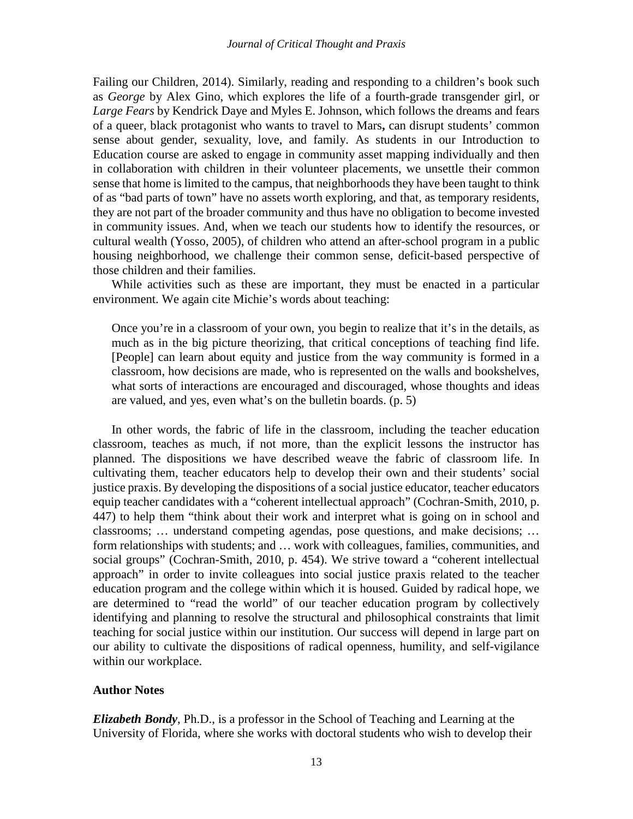Failing our Children, 2014). Similarly, reading and responding to a children's book such as *George* by Alex Gino, which explores the life of a fourth-grade transgender girl, or *Large Fears* by Kendrick Daye and Myles E. Johnson, which follows the dreams and fears of a queer, black protagonist who wants to travel to Mars**,** can disrupt students' common sense about gender, sexuality, love, and family. As students in our Introduction to Education course are asked to engage in community asset mapping individually and then in collaboration with children in their volunteer placements, we unsettle their common sense that home is limited to the campus, that neighborhoods they have been taught to think of as "bad parts of town" have no assets worth exploring, and that, as temporary residents, they are not part of the broader community and thus have no obligation to become invested in community issues. And, when we teach our students how to identify the resources, or cultural wealth (Yosso, 2005), of children who attend an after-school program in a public housing neighborhood, we challenge their common sense, deficit-based perspective of those children and their families.

While activities such as these are important, they must be enacted in a particular environment. We again cite Michie's words about teaching:

Once you're in a classroom of your own, you begin to realize that it's in the details, as much as in the big picture theorizing, that critical conceptions of teaching find life. [People] can learn about equity and justice from the way community is formed in a classroom, how decisions are made, who is represented on the walls and bookshelves, what sorts of interactions are encouraged and discouraged, whose thoughts and ideas are valued, and yes, even what's on the bulletin boards. (p. 5)

In other words, the fabric of life in the classroom, including the teacher education classroom, teaches as much, if not more, than the explicit lessons the instructor has planned. The dispositions we have described weave the fabric of classroom life. In cultivating them, teacher educators help to develop their own and their students' social justice praxis. By developing the dispositions of a social justice educator, teacher educators equip teacher candidates with a "coherent intellectual approach" (Cochran-Smith, 2010, p. 447) to help them "think about their work and interpret what is going on in school and classrooms; … understand competing agendas, pose questions, and make decisions; … form relationships with students; and … work with colleagues, families, communities, and social groups" (Cochran-Smith, 2010, p. 454). We strive toward a "coherent intellectual approach" in order to invite colleagues into social justice praxis related to the teacher education program and the college within which it is housed. Guided by radical hope, we are determined to "read the world" of our teacher education program by collectively identifying and planning to resolve the structural and philosophical constraints that limit teaching for social justice within our institution. Our success will depend in large part on our ability to cultivate the dispositions of radical openness, humility, and self-vigilance within our workplace.

## **Author Notes**

*Elizabeth Bondy*, Ph.D., is a professor in the School of Teaching and Learning at the University of Florida, where she works with doctoral students who wish to develop their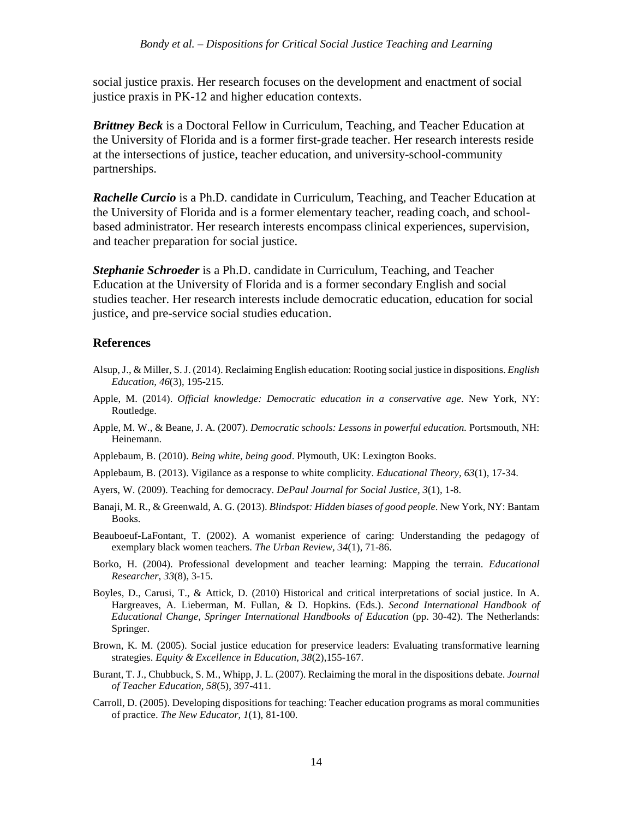social justice praxis. Her research focuses on the development and enactment of social justice praxis in PK-12 and higher education contexts.

*Brittney Beck* is a Doctoral Fellow in Curriculum, Teaching, and Teacher Education at the University of Florida and is a former first-grade teacher. Her research interests reside at the intersections of justice, teacher education, and university-school-community partnerships.

*Rachelle Curcio* is a Ph.D. candidate in Curriculum, Teaching, and Teacher Education at the University of Florida and is a former elementary teacher, reading coach, and schoolbased administrator. Her research interests encompass clinical experiences, supervision, and teacher preparation for social justice.

*Stephanie Schroeder* is a Ph.D. candidate in Curriculum, Teaching, and Teacher Education at the University of Florida and is a former secondary English and social studies teacher. Her research interests include democratic education, education for social justice, and pre-service social studies education.

## **References**

- Alsup, J., & Miller, S. J. (2014). Reclaiming English education: Rooting social justice in dispositions. *English Education, 46*(3), 195-215.
- Apple, M. (2014). *Official knowledge: Democratic education in a conservative age*. New York, NY: Routledge.
- Apple, M. W., & Beane, J. A. (2007). *Democratic schools: Lessons in powerful education.* Portsmouth, NH: Heinemann.
- Applebaum, B. (2010). *Being white, being good*. Plymouth, UK: Lexington Books.
- Applebaum, B. (2013). Vigilance as a response to white complicity. *Educational Theory, 63*(1), 17-34.
- Ayers, W. (2009). Teaching for democracy. *DePaul Journal for Social Justice, 3*(1), 1-8.
- Banaji, M. R., & Greenwald, A. G. (2013). *Blindspot: Hidden biases of good people*. New York, NY: Bantam Books.
- Beauboeuf-LaFontant, T. (2002). A womanist experience of caring: Understanding the pedagogy of exemplary black women teachers. *The Urban Review, 34*(1), 71-86.
- Borko, H. (2004). Professional development and teacher learning: Mapping the terrain. *Educational Researcher, 33*(8), 3-15.
- Boyles, D., Carusi, T., & Attick, D. (2010) Historical and critical interpretations of social justice. In A. Hargreaves, A. Lieberman, M. Fullan, & D. Hopkins. (Eds.). *Second International Handbook of Educational Change, Springer International Handbooks of Education* (pp. 30-42). The Netherlands: Springer.
- Brown, K. M. (2005). Social justice education for preservice leaders: Evaluating transformative learning strategies. *Equity & Excellence in Education, 38*(2),155-167.
- Burant, T. J., Chubbuck, S. M., Whipp, J. L. (2007). Reclaiming the moral in the dispositions debate. *Journal of Teacher Education, 58*(5), 397-411.
- Carroll, D. (2005). Developing dispositions for teaching: Teacher education programs as moral communities of practice. *The New Educator, 1*(1), 81-100.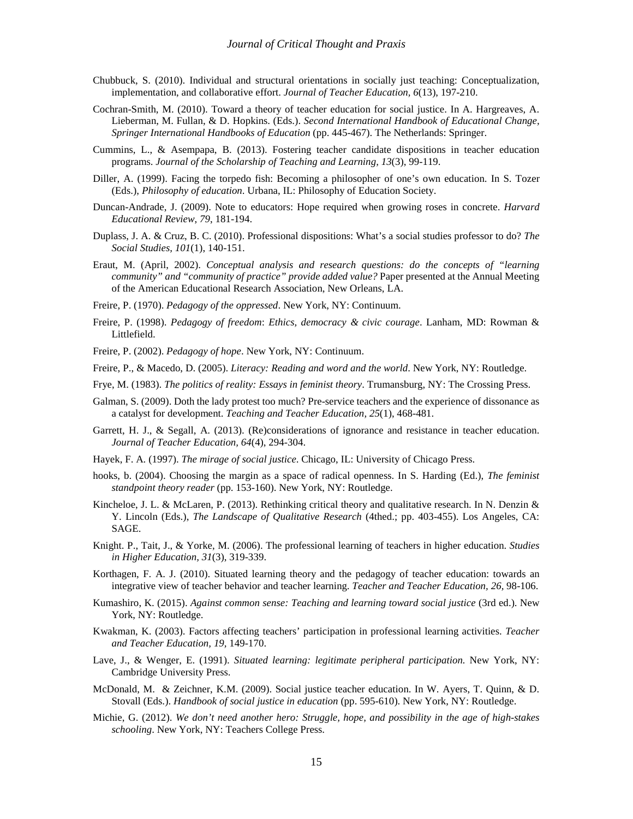- Chubbuck, S. (2010). Individual and structural orientations in socially just teaching: Conceptualization, implementation, and collaborative effort. *Journal of Teacher Education, 6*(13), 197-210.
- Cochran-Smith, M. (2010). Toward a theory of teacher education for social justice. In A. Hargreaves, A. Lieberman, M. Fullan, & D. Hopkins. (Eds.). *Second International Handbook of Educational Change, Springer International Handbooks of Education* (pp. 445-467). The Netherlands: Springer.
- Cummins, L., & Asempapa, B. (2013). Fostering teacher candidate dispositions in teacher education programs. *Journal of the Scholarship of Teaching and Learning, 13*(3), 99-119.
- Diller, A. (1999). Facing the torpedo fish: Becoming a philosopher of one's own education. In S. Tozer (Eds.), *Philosophy of education*. Urbana, IL: Philosophy of Education Society.
- Duncan-Andrade, J. (2009). Note to educators: Hope required when growing roses in concrete. *Harvard Educational Review*, *79*, 181-194.
- Duplass, J. A. & Cruz, B. C. (2010). Professional dispositions: What's a social studies professor to do? *The Social Studies, 101*(1), 140-151.
- Eraut, M. (April, 2002). *Conceptual analysis and research questions: do the concepts of "learning community" and "community of practice" provide added value?* Paper presented at the Annual Meeting of the American Educational Research Association, New Orleans, LA.
- Freire, P. (1970). *Pedagogy of the oppressed*. New York, NY: Continuum.
- Freire, P. (1998). *Pedagogy of freedom*: *Ethics, democracy & civic courage*. Lanham, MD: Rowman & Littlefield.
- Freire, P. (2002). *Pedagogy of hope*. New York, NY: Continuum.
- Freire, P., & Macedo, D. (2005). *Literacy: Reading and word and the world*. New York, NY: Routledge.
- Frye, M. (1983). *The politics of reality: Essays in feminist theory*. Trumansburg, NY: The Crossing Press.
- Galman, S. (2009). Doth the lady protest too much? Pre-service teachers and the experience of dissonance as a catalyst for development. *Teaching and Teacher Education, 25*(1), 468-481.
- Garrett, H. J., & Segall, A. (2013). (Re)considerations of ignorance and resistance in teacher education. *Journal of Teacher Education, 64*(4), 294-304.
- Hayek, F. A. (1997). *The mirage of social justice*. Chicago, IL: University of Chicago Press.
- hooks, b. (2004). Choosing the margin as a space of radical openness. In S. Harding (Ed.), *The feminist standpoint theory reader* (pp. 153-160). New York, NY: Routledge.
- Kincheloe, J. L. & McLaren, P. (2013). Rethinking critical theory and qualitative research. In N. Denzin & Y. Lincoln (Eds.), *The Landscape of Qualitative Research* (4thed.; pp. 403-455). Los Angeles, CA: SAGE.
- Knight. P., Tait, J., & Yorke, M. (2006). The professional learning of teachers in higher education. *Studies in Higher Education, 31*(3), 319-339.
- Korthagen, F. A. J. (2010). Situated learning theory and the pedagogy of teacher education: towards an integrative view of teacher behavior and teacher learning. *Teacher and Teacher Education, 26,* 98-106.
- Kumashiro, K. (2015). *Against common sense: Teaching and learning toward social justice* (3rd ed.). New York, NY: Routledge.
- Kwakman, K. (2003). Factors affecting teachers' participation in professional learning activities. *Teacher and Teacher Education, 19,* 149-170.
- Lave, J., & Wenger, E. (1991). *Situated learning: legitimate peripheral participation.* New York, NY: Cambridge University Press.
- McDonald, M. & Zeichner, K.M. (2009). Social justice teacher education. In W. Ayers, T. Quinn, & D. Stovall (Eds.). *Handbook of social justice in education* (pp. 595-610). New York, NY: Routledge.
- Michie, G. (2012). *We don't need another hero: Struggle, hope, and possibility in the age of high-stakes schooling*. New York, NY: Teachers College Press.